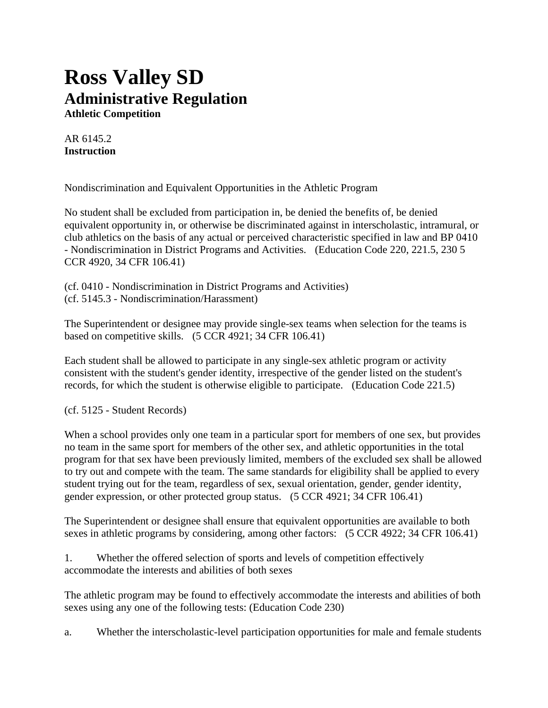# **Ross Valley SD Administrative Regulation**

**Athletic Competition**

AR 6145.2 **Instruction**

Nondiscrimination and Equivalent Opportunities in the Athletic Program

No student shall be excluded from participation in, be denied the benefits of, be denied equivalent opportunity in, or otherwise be discriminated against in interscholastic, intramural, or club athletics on the basis of any actual or perceived characteristic specified in law and BP 0410 - Nondiscrimination in District Programs and Activities. (Education Code 220, 221.5, 230 5 CCR 4920, 34 CFR 106.41)

(cf. 0410 - Nondiscrimination in District Programs and Activities) (cf. 5145.3 - Nondiscrimination/Harassment)

The Superintendent or designee may provide single-sex teams when selection for the teams is based on competitive skills. (5 CCR 4921; 34 CFR 106.41)

Each student shall be allowed to participate in any single-sex athletic program or activity consistent with the student's gender identity, irrespective of the gender listed on the student's records, for which the student is otherwise eligible to participate. (Education Code 221.5)

(cf. 5125 - Student Records)

When a school provides only one team in a particular sport for members of one sex, but provides no team in the same sport for members of the other sex, and athletic opportunities in the total program for that sex have been previously limited, members of the excluded sex shall be allowed to try out and compete with the team. The same standards for eligibility shall be applied to every student trying out for the team, regardless of sex, sexual orientation, gender, gender identity, gender expression, or other protected group status. (5 CCR 4921; 34 CFR 106.41)

The Superintendent or designee shall ensure that equivalent opportunities are available to both sexes in athletic programs by considering, among other factors: (5 CCR 4922; 34 CFR 106.41)

1. Whether the offered selection of sports and levels of competition effectively accommodate the interests and abilities of both sexes

The athletic program may be found to effectively accommodate the interests and abilities of both sexes using any one of the following tests: (Education Code 230)

a. Whether the interscholastic-level participation opportunities for male and female students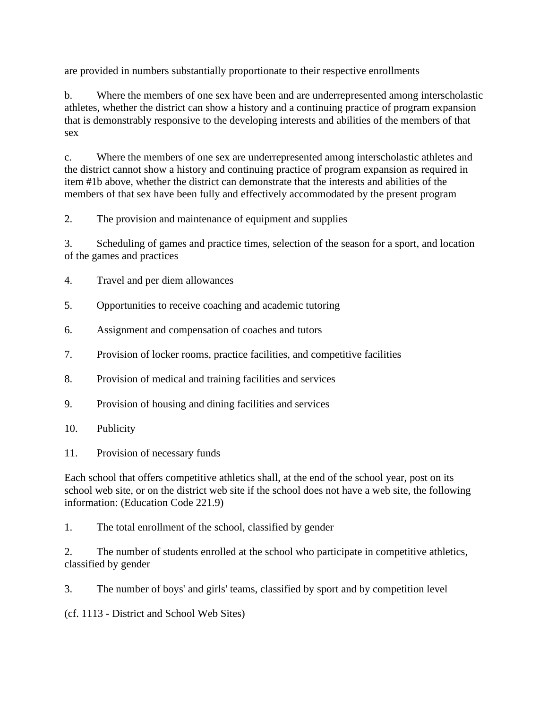are provided in numbers substantially proportionate to their respective enrollments

b. Where the members of one sex have been and are underrepresented among interscholastic athletes, whether the district can show a history and a continuing practice of program expansion that is demonstrably responsive to the developing interests and abilities of the members of that sex

c. Where the members of one sex are underrepresented among interscholastic athletes and the district cannot show a history and continuing practice of program expansion as required in item #1b above, whether the district can demonstrate that the interests and abilities of the members of that sex have been fully and effectively accommodated by the present program

2. The provision and maintenance of equipment and supplies

3. Scheduling of games and practice times, selection of the season for a sport, and location of the games and practices

- 4. Travel and per diem allowances
- 5. Opportunities to receive coaching and academic tutoring
- 6. Assignment and compensation of coaches and tutors
- 7. Provision of locker rooms, practice facilities, and competitive facilities
- 8. Provision of medical and training facilities and services
- 9. Provision of housing and dining facilities and services
- 10. Publicity
- 11. Provision of necessary funds

Each school that offers competitive athletics shall, at the end of the school year, post on its school web site, or on the district web site if the school does not have a web site, the following information: (Education Code 221.9)

1. The total enrollment of the school, classified by gender

2. The number of students enrolled at the school who participate in competitive athletics, classified by gender

3. The number of boys' and girls' teams, classified by sport and by competition level

(cf. 1113 - District and School Web Sites)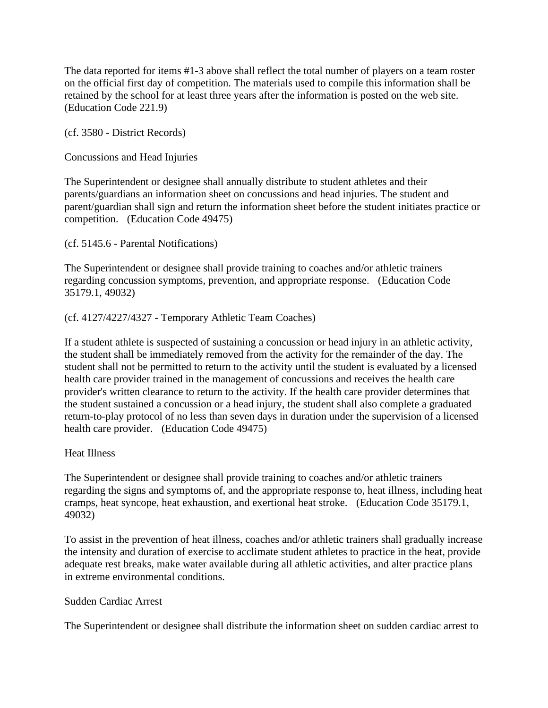The data reported for items #1-3 above shall reflect the total number of players on a team roster on the official first day of competition. The materials used to compile this information shall be retained by the school for at least three years after the information is posted on the web site. (Education Code 221.9)

(cf. 3580 - District Records)

Concussions and Head Injuries

The Superintendent or designee shall annually distribute to student athletes and their parents/guardians an information sheet on concussions and head injuries. The student and parent/guardian shall sign and return the information sheet before the student initiates practice or competition. (Education Code 49475)

(cf. 5145.6 - Parental Notifications)

The Superintendent or designee shall provide training to coaches and/or athletic trainers regarding concussion symptoms, prevention, and appropriate response. (Education Code 35179.1, 49032)

## (cf. 4127/4227/4327 - Temporary Athletic Team Coaches)

If a student athlete is suspected of sustaining a concussion or head injury in an athletic activity, the student shall be immediately removed from the activity for the remainder of the day. The student shall not be permitted to return to the activity until the student is evaluated by a licensed health care provider trained in the management of concussions and receives the health care provider's written clearance to return to the activity. If the health care provider determines that the student sustained a concussion or a head injury, the student shall also complete a graduated return-to-play protocol of no less than seven days in duration under the supervision of a licensed health care provider. (Education Code 49475)

Heat Illness

The Superintendent or designee shall provide training to coaches and/or athletic trainers regarding the signs and symptoms of, and the appropriate response to, heat illness, including heat cramps, heat syncope, heat exhaustion, and exertional heat stroke. (Education Code 35179.1, 49032)

To assist in the prevention of heat illness, coaches and/or athletic trainers shall gradually increase the intensity and duration of exercise to acclimate student athletes to practice in the heat, provide adequate rest breaks, make water available during all athletic activities, and alter practice plans in extreme environmental conditions.

#### Sudden Cardiac Arrest

The Superintendent or designee shall distribute the information sheet on sudden cardiac arrest to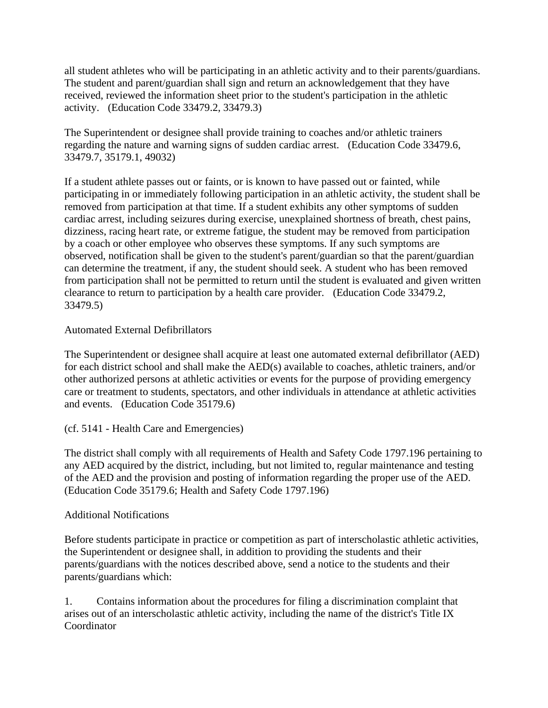all student athletes who will be participating in an athletic activity and to their parents/guardians. The student and parent/guardian shall sign and return an acknowledgement that they have received, reviewed the information sheet prior to the student's participation in the athletic activity. (Education Code 33479.2, 33479.3)

The Superintendent or designee shall provide training to coaches and/or athletic trainers regarding the nature and warning signs of sudden cardiac arrest. (Education Code 33479.6, 33479.7, 35179.1, 49032)

If a student athlete passes out or faints, or is known to have passed out or fainted, while participating in or immediately following participation in an athletic activity, the student shall be removed from participation at that time. If a student exhibits any other symptoms of sudden cardiac arrest, including seizures during exercise, unexplained shortness of breath, chest pains, dizziness, racing heart rate, or extreme fatigue, the student may be removed from participation by a coach or other employee who observes these symptoms. If any such symptoms are observed, notification shall be given to the student's parent/guardian so that the parent/guardian can determine the treatment, if any, the student should seek. A student who has been removed from participation shall not be permitted to return until the student is evaluated and given written clearance to return to participation by a health care provider. (Education Code 33479.2, 33479.5)

## Automated External Defibrillators

The Superintendent or designee shall acquire at least one automated external defibrillator (AED) for each district school and shall make the AED(s) available to coaches, athletic trainers, and/or other authorized persons at athletic activities or events for the purpose of providing emergency care or treatment to students, spectators, and other individuals in attendance at athletic activities and events. (Education Code 35179.6)

# (cf. 5141 - Health Care and Emergencies)

The district shall comply with all requirements of Health and Safety Code 1797.196 pertaining to any AED acquired by the district, including, but not limited to, regular maintenance and testing of the AED and the provision and posting of information regarding the proper use of the AED. (Education Code 35179.6; Health and Safety Code 1797.196)

#### Additional Notifications

Before students participate in practice or competition as part of interscholastic athletic activities, the Superintendent or designee shall, in addition to providing the students and their parents/guardians with the notices described above, send a notice to the students and their parents/guardians which:

1. Contains information about the procedures for filing a discrimination complaint that arises out of an interscholastic athletic activity, including the name of the district's Title IX Coordinator